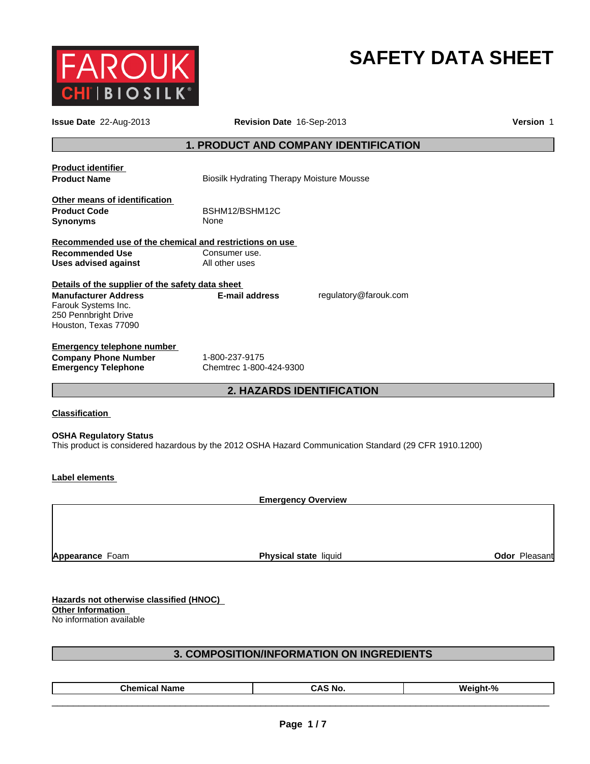

# **SAFETY DATA SHEET**

| Issue Date 22-Aug-2013                                                                                           | Revision Date 16-Sep-2013                                                                              |                       | Version 1 |
|------------------------------------------------------------------------------------------------------------------|--------------------------------------------------------------------------------------------------------|-----------------------|-----------|
|                                                                                                                  | <b>1. PRODUCT AND COMPANY IDENTIFICATION</b>                                                           |                       |           |
| <b>Product identifier</b><br><b>Product Name</b>                                                                 | <b>Biosilk Hydrating Therapy Moisture Mousse</b>                                                       |                       |           |
| Other means of identification<br><b>Product Code</b><br><b>Synonyms</b>                                          | BSHM12/BSHM12C<br>None                                                                                 |                       |           |
| Recommended use of the chemical and restrictions on use<br><b>Recommended Use</b><br><b>Uses advised against</b> | Consumer use.<br>All other uses                                                                        |                       |           |
| Details of the supplier of the safety data sheet                                                                 |                                                                                                        |                       |           |
| <b>Manufacturer Address</b><br>Farouk Systems Inc.<br>250 Pennbright Drive<br>Houston, Texas 77090               | <b>E-mail address</b>                                                                                  | regulatory@farouk.com |           |
| <b>Emergency telephone number</b>                                                                                |                                                                                                        |                       |           |
| <b>Company Phone Number</b><br><b>Emergency Telephone</b>                                                        | 1-800-237-9175<br>Chemtrec 1-800-424-9300                                                              |                       |           |
|                                                                                                                  | <b>2. HAZARDS IDENTIFICATION</b>                                                                       |                       |           |
| <b>Classification</b>                                                                                            |                                                                                                        |                       |           |
| <b>OSHA Regulatory Status</b>                                                                                    | This product is considered hazardous by the 2012 OSHA Hazard Communication Standard (29 CFR 1910.1200) |                       |           |
| Label elements                                                                                                   |                                                                                                        |                       |           |
|                                                                                                                  | <b>Emergency Overview</b>                                                                              |                       |           |
|                                                                                                                  |                                                                                                        |                       |           |

**Appearance** Foam

**Physical state liquid Contract Contract Contract Pleasant** 

**Hazards not otherwise classified (HNOC) Other Information** 

No information available

# **3. COMPOSITION/INFORMATION ON INGREDIENTS**

| Chemical<br>Name<br>Weir<br>л.<br>5 NG<br>ап<br>-,<br>. General Street |
|------------------------------------------------------------------------|
|------------------------------------------------------------------------|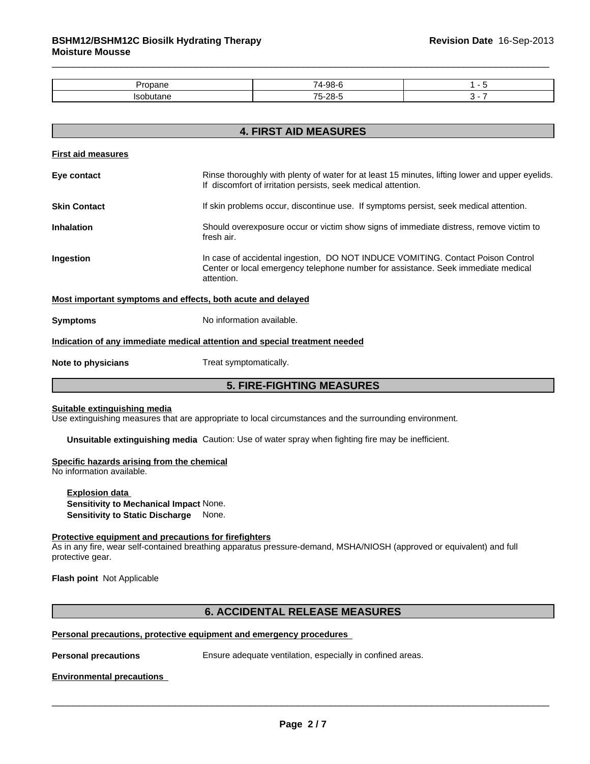| . |  |
|---|--|
|   |  |

| <b>4. FIRST AID MEASURES</b> |                                                                                                                                                                                    |  |
|------------------------------|------------------------------------------------------------------------------------------------------------------------------------------------------------------------------------|--|
| <b>First aid measures</b>    |                                                                                                                                                                                    |  |
| Eye contact                  | Rinse thoroughly with plenty of water for at least 15 minutes, lifting lower and upper eyelids.<br>If discomfort of irritation persists, seek medical attention.                   |  |
| <b>Skin Contact</b>          | If skin problems occur, discontinue use. If symptoms persist, seek medical attention.                                                                                              |  |
| <b>Inhalation</b>            | Should overexposure occur or victim show signs of immediate distress, remove victim to<br>fresh air.                                                                               |  |
| Ingestion                    | In case of accidental ingestion, DO NOT INDUCE VOMITING. Contact Poison Control<br>Center or local emergency telephone number for assistance. Seek immediate medical<br>attention. |  |
|                              | Most important symptoms and effects, both acute and delayed                                                                                                                        |  |
| <b>Symptoms</b>              | No information available.                                                                                                                                                          |  |
|                              | Indication of any immediate medical attention and special treatment needed                                                                                                         |  |
| Note to physicians           | Treat symptomatically.                                                                                                                                                             |  |
|                              | <b>5. FIRE-FIGHTING MEASURES</b>                                                                                                                                                   |  |

#### **Suitable extinguishing media**

Use extinguishing measures that are appropriate to local circumstances and the surrounding environment.

**Unsuitable extinguishing media** Caution: Use of water spray when fighting fire may be inefficient.

# **Specific hazards arising from the chemical**

No information available.

**Explosion data Sensitivity to Mechanical Impact** None. **Sensitivity to Static Discharge** None.

# **Protective equipment and precautions for firefighters**

As in any fire, wear self-contained breathing apparatus pressure-demand, MSHA/NIOSH (approved or equivalent) and full protective gear.

**Flash point** Not Applicable

# **6. ACCIDENTAL RELEASE MEASURES**

# **Personal precautions, protective equipment and emergency procedures**

\_\_\_\_\_\_\_\_\_\_\_\_\_\_\_\_\_\_\_\_\_\_\_\_\_\_\_\_\_\_\_\_\_\_\_\_\_\_\_\_\_\_\_\_\_\_\_\_\_\_\_\_\_\_\_\_\_\_\_\_\_\_\_\_\_\_\_\_\_\_\_\_\_\_\_\_\_\_\_\_\_\_\_\_\_\_\_\_\_\_\_\_\_ **Personal precautions** Ensure adequate ventilation, especially in confined areas.

#### **Environmental precautions**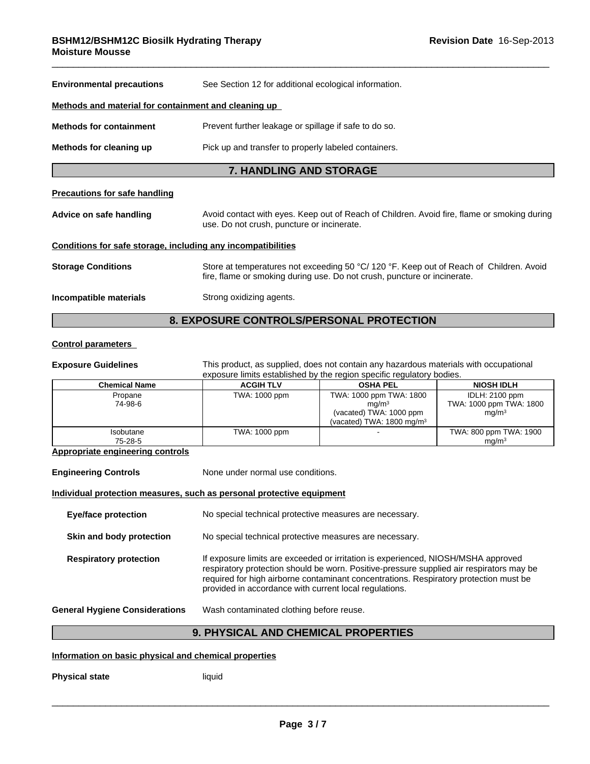| <b>Environmental precautions</b>                             | See Section 12 for additional ecological information.                                                                                                               |  |  |
|--------------------------------------------------------------|---------------------------------------------------------------------------------------------------------------------------------------------------------------------|--|--|
| Methods and material for containment and cleaning up         |                                                                                                                                                                     |  |  |
| <b>Methods for containment</b>                               | Prevent further leakage or spillage if safe to do so.                                                                                                               |  |  |
| Methods for cleaning up                                      | Pick up and transfer to properly labeled containers.                                                                                                                |  |  |
|                                                              | <b>7. HANDLING AND STORAGE</b>                                                                                                                                      |  |  |
| <b>Precautions for safe handling</b>                         |                                                                                                                                                                     |  |  |
| Advice on safe handling                                      | Avoid contact with eyes. Keep out of Reach of Children. Avoid fire, flame or smoking during<br>use. Do not crush, puncture or incinerate.                           |  |  |
| Conditions for safe storage, including any incompatibilities |                                                                                                                                                                     |  |  |
| <b>Storage Conditions</b>                                    | Store at temperatures not exceeding 50 °C/ 120 °F. Keep out of Reach of Children. Avoid<br>fire, flame or smoking during use. Do not crush, puncture or incinerate. |  |  |
| Incompatible materials                                       | Strong oxidizing agents.                                                                                                                                            |  |  |
|                                                              |                                                                                                                                                                     |  |  |

# **8. EXPOSURE CONTROLS/PERSONAL PROTECTION**

# **Control parameters**

**Exposure Guidelines** This product, as supplied, does not contain any hazardous materials with occupational exposure limits established by the region specific regulatory bodies.

| <b>Chemical Name</b> | <b>ACGIH TLV</b> | <b>OSHA PEL</b>                                                                                                 | <b>NIOSH IDLH</b>                                              |
|----------------------|------------------|-----------------------------------------------------------------------------------------------------------------|----------------------------------------------------------------|
| Propane<br>74-98-6   | TWA: 1000 ppm    | TWA: 1000 ppm TWA: 1800<br>ma/m <sup>3</sup><br>(vacated) TWA: 1000 ppm<br>(vacated) TWA: $1800 \text{ mg/m}^3$ | IDLH: 2100 ppm<br>TWA: 1000 ppm TWA: 1800<br>mq/m <sup>3</sup> |
| Isobutane<br>75-28-5 | TWA: 1000 ppm    |                                                                                                                 | TWA: 800 ppm TWA: 1900<br>ma/m <sup>3</sup>                    |

# **Appropriate engineering controls**

**Engineering Controls** None under normal use conditions. **Individual protection measures, such as personal protective equipment Eye/face protection** No special technical protective measures are necessary. **Skin and body protection** No special technical protective measures are necessary. Respiratory protection **If exposure limits are exceeded or irritation is experienced, NIOSH/MSHA approved** respiratory protection should be worn. Positive-pressure supplied air respirators may be required for high airborne contaminant concentrations. Respiratory protection must be provided in accordance with current local regulations. **General Hygiene Considerations** Wash contaminated clothing before reuse.

# **9. PHYSICAL AND CHEMICAL PROPERTIES**

# **Information on basic physical and chemical properties**

**Physical state** liquid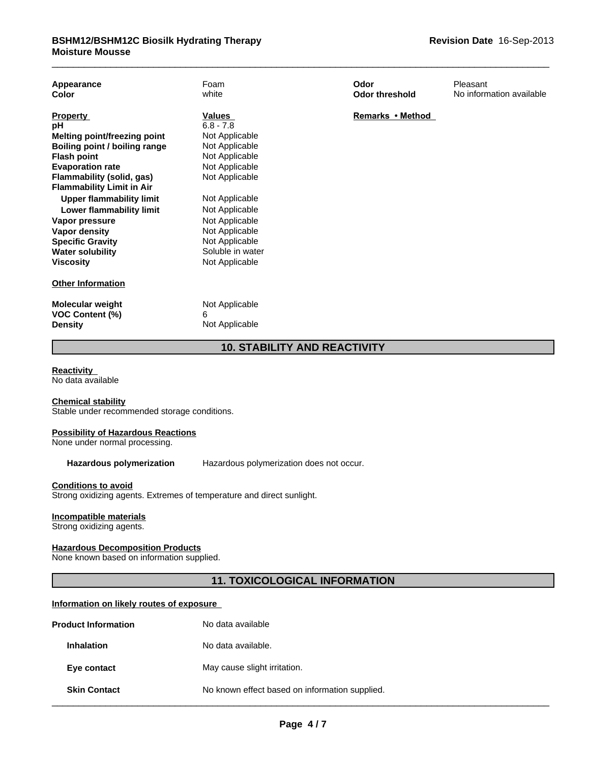| Appearance<br>Color                        | Foam<br>white       | Odor<br><b>Odor threshold</b> | Pleasant<br>No information available |
|--------------------------------------------|---------------------|-------------------------------|--------------------------------------|
| <b>Property</b>                            | Values              | Remarks • Method              |                                      |
| рH                                         | $6.8 - 7.8$         |                               |                                      |
| <b>Melting point/freezing point</b>        | Not Applicable      |                               |                                      |
| Boiling point / boiling range              | Not Applicable      |                               |                                      |
| <b>Flash point</b>                         | Not Applicable      |                               |                                      |
| <b>Evaporation rate</b>                    | Not Applicable      |                               |                                      |
| Flammability (solid, gas)                  | Not Applicable      |                               |                                      |
| <b>Flammability Limit in Air</b>           |                     |                               |                                      |
| <b>Upper flammability limit</b>            | Not Applicable      |                               |                                      |
| Lower flammability limit                   | Not Applicable      |                               |                                      |
| Vapor pressure                             | Not Applicable      |                               |                                      |
| Vapor density                              | Not Applicable      |                               |                                      |
| <b>Specific Gravity</b>                    | Not Applicable      |                               |                                      |
| <b>Water solubility</b>                    | Soluble in water    |                               |                                      |
| <b>Viscosity</b>                           | Not Applicable      |                               |                                      |
| <b>Other Information</b>                   |                     |                               |                                      |
| Molecular weight<br><b>VOC Content (%)</b> | Not Applicable<br>6 |                               |                                      |
| <b>Density</b>                             | Not Applicable      |                               |                                      |
|                                            |                     |                               |                                      |

# **10. STABILITY AND REACTIVITY**

# **Reactivity**

No data available

#### **Chemical stability**

Stable under recommended storage conditions.

### **Possibility of Hazardous Reactions**

None under normal processing.

**Hazardous polymerization** Hazardous polymerization does not occur.

# **Conditions to avoid**

Strong oxidizing agents. Extremes of temperature and direct sunlight.

# **Incompatible materials**

Strong oxidizing agents.

# **Hazardous Decomposition Products**

None known based on information supplied.

# **11. TOXICOLOGICAL INFORMATION**

# **Information on likely routes of exposure**

|                                                                       | No data available |  |
|-----------------------------------------------------------------------|-------------------|--|
| No data available.<br><b>Inhalation</b>                               |                   |  |
| May cause slight irritation.<br>Eye contact                           |                   |  |
| No known effect based on information supplied.<br><b>Skin Contact</b> |                   |  |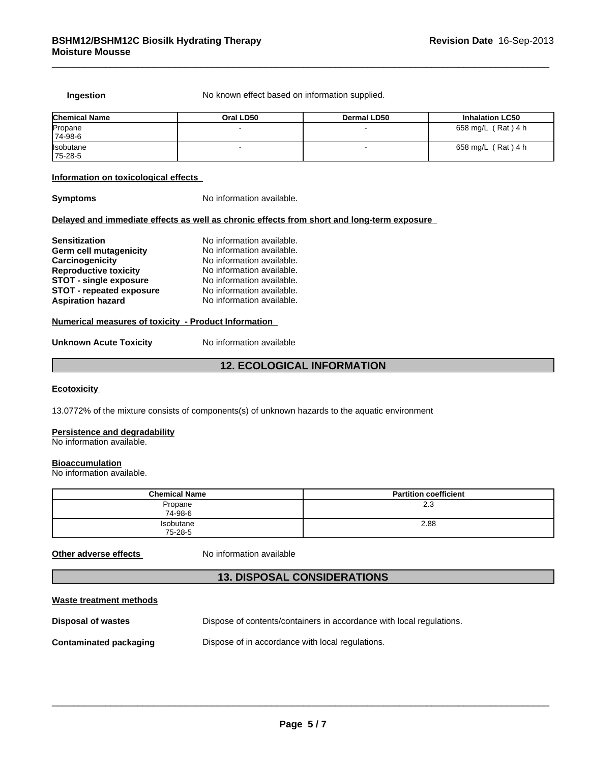**Ingestion** No known effect based on information supplied.

| <b>Chemical Name</b> | Oral LD50 | Dermal LD50 | <b>Inhalation LC50</b> |
|----------------------|-----------|-------------|------------------------|
| Propane              |           |             | 658 mg/L (Rat) 4 h     |
| 74-98-6              |           |             |                        |
| <b>Isobutane</b>     |           |             | 658 mg/L (Rat) 4 h     |
| 75-28-5              |           |             |                        |

#### **Information on toxicological effects**

**Symptoms** No information available.

# **Delayed and immediate effects as well as chronic effects from short and long-term exposure**

| <b>Sensitization</b>            | No information available. |
|---------------------------------|---------------------------|
| Germ cell mutagenicity          | No information available. |
| Carcinogenicity                 | No information available. |
| <b>Reproductive toxicity</b>    | No information available. |
| <b>STOT - single exposure</b>   | No information available. |
| <b>STOT - repeated exposure</b> | No information available. |
| <b>Aspiration hazard</b>        | No information available. |

# **Numerical measures of toxicity - Product Information**

| <b>Unknown Acute Toxicity</b> | No information available |  |
|-------------------------------|--------------------------|--|
|-------------------------------|--------------------------|--|

# **12. ECOLOGICAL INFORMATION**

# **Ecotoxicity**

13.0772% of the mixture consists of components(s) of unknown hazards to the aquatic environment

#### **Persistence and degradability**

No information available.

# **Bioaccumulation**

No information available.

| <b>Chemical Name</b> | <b>Partition coefficient</b> |
|----------------------|------------------------------|
| Propane<br>74-98-6   | 2.3                          |
| Isobutane<br>75-28-5 | 2.88                         |

# **Other adverse effects** No information available

# **13. DISPOSAL CONSIDERATIONS**

# **Waste treatment methods**

| Disposal of wastes            | Dispose of contents/containers in accordance with local regulations. |
|-------------------------------|----------------------------------------------------------------------|
| <b>Contaminated packaging</b> | Dispose of in accordance with local regulations.                     |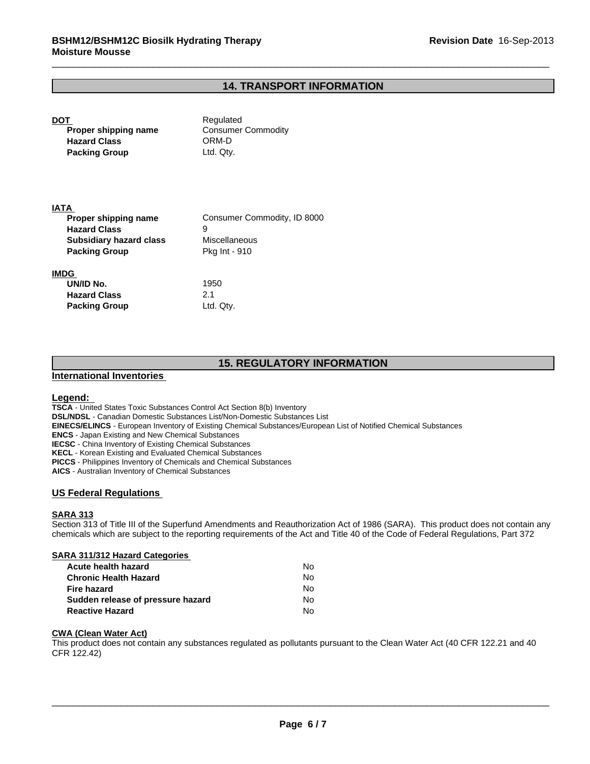# **14. TRANSPORT INFORMATION**

**DOT** Required **Proper shipping name** Consumer Commodity **Hazard Class** ORM-D **Packing Group** Ltd. Qty.

### **IATA**

| Proper shipping name           | Consumer Commodity, ID 8000 |
|--------------------------------|-----------------------------|
| <b>Hazard Class</b>            | 9                           |
| <b>Subsidiary hazard class</b> | Miscellaneous               |
| <b>Packing Group</b>           | <b>Pkg Int - 910</b>        |
| IMDG                           |                             |
| UN/ID No.                      | 1950                        |

# **15. REGULATORY INFORMATION**

# **International Inventories**

**Hazard Class** 2.1 **Packing Group Ltd. Qty.** 

# **Legend:**

**TSCA** - United States Toxic Substances Control Act Section 8(b) Inventory **DSL/NDSL** - Canadian Domestic Substances List/Non-Domestic Substances List **EINECS/ELINCS** - European Inventory of Existing Chemical Substances/European List of Notified Chemical Substances **ENCS** - Japan Existing and New Chemical Substances **IECSC** - China Inventory of Existing Chemical Substances **KECL** - Korean Existing and Evaluated Chemical Substances **PICCS** - Philippines Inventory of Chemicals and Chemical Substances **AICS** - Australian Inventory of Chemical Substances

# **US Federal Regulations**

# **SARA 313**

Section 313 of Title III of the Superfund Amendments and Reauthorization Act of 1986 (SARA). This product does not contain any chemicals which are subject to the reporting requirements of the Act and Title 40 of the Code of Federal Regulations, Part 372

### **SARA 311/312 Hazard Categories**

| Acute health hazard               | No. |  |
|-----------------------------------|-----|--|
| <b>Chronic Health Hazard</b>      | N٥  |  |
| <b>Fire hazard</b>                | N٥  |  |
| Sudden release of pressure hazard | No. |  |
| <b>Reactive Hazard</b>            | N٥  |  |

# **CWA (Clean Water Act)**

This product does not contain any substances regulated as pollutants pursuant to the Clean Water Act (40 CFR 122.21 and 40 CFR 122.42)